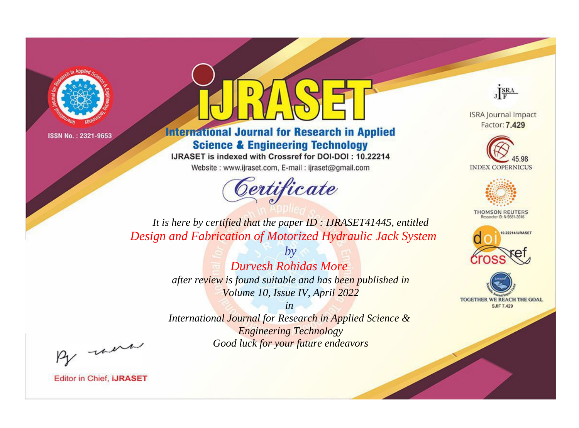



**International Journal for Research in Applied Science & Engineering Technology** 

IJRASET is indexed with Crossref for DOI-DOI: 10.22214

Website: www.ijraset.com, E-mail: ijraset@gmail.com



JERA

**ISRA Journal Impact** Factor: 7.429





**THOMSON REUTERS** 



TOGETHER WE REACH THE GOAL **SJIF 7.429** 

*It is here by certified that the paper ID : IJRASET41445, entitled Design and Fabrication of Motorized Hydraulic Jack System*

> *by Durvesh Rohidas More after review is found suitable and has been published in Volume 10, Issue IV, April 2022*

> > *in*

*International Journal for Research in Applied Science & Engineering Technology Good luck for your future endeavors*

By morn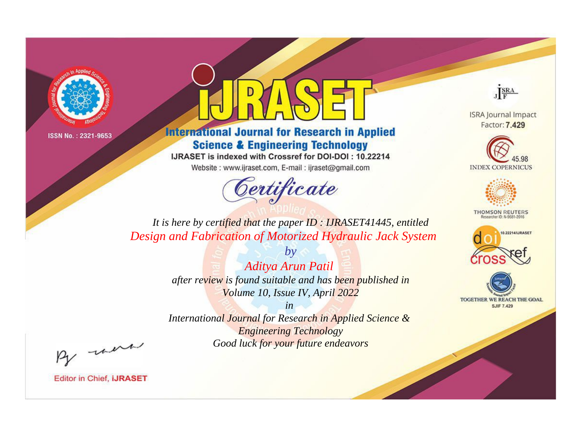



**International Journal for Research in Applied Science & Engineering Technology** 

IJRASET is indexed with Crossref for DOI-DOI: 10.22214

Website: www.ijraset.com, E-mail: ijraset@gmail.com



JERA

**ISRA Journal Impact** Factor: 7.429





**THOMSON REUTERS** 



TOGETHER WE REACH THE GOAL **SJIF 7.429** 

*It is here by certified that the paper ID : IJRASET41445, entitled Design and Fabrication of Motorized Hydraulic Jack System*

> *Aditya Arun Patil after review is found suitable and has been published in Volume 10, Issue IV, April 2022*

*by*

*in* 

*International Journal for Research in Applied Science & Engineering Technology Good luck for your future endeavors*

By morn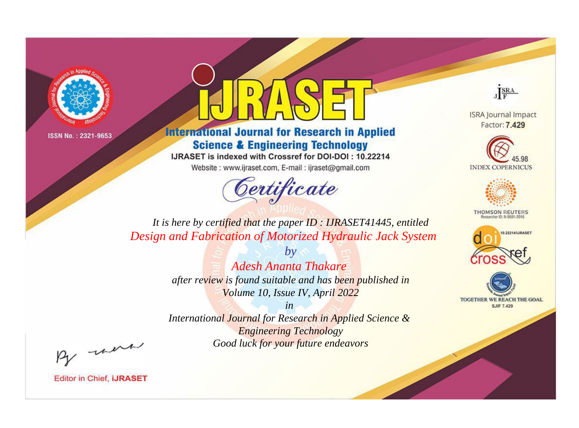



**International Journal for Research in Applied Science & Engineering Technology** 

IJRASET is indexed with Crossref for DOI-DOI: 10.22214

Website: www.ijraset.com, E-mail: ijraset@gmail.com



JERA

**ISRA Journal Impact** Factor: 7.429





**THOMSON REUTERS** 



TOGETHER WE REACH THE GOAL **SJIF 7.429** 

It is here by certified that the paper ID: IJRASET41445, entitled Design and Fabrication of Motorized Hydraulic Jack System

> $b\nu$ **Adesh Ananta Thakare** after review is found suitable and has been published in Volume 10, Issue IV, April 2022

 $in$ International Journal for Research in Applied Science & **Engineering Technology** Good luck for your future endeavors

By morn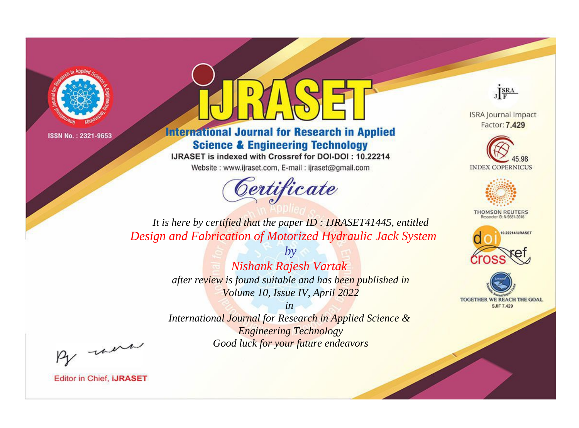



**International Journal for Research in Applied Science & Engineering Technology** 

IJRASET is indexed with Crossref for DOI-DOI: 10.22214

Website: www.ijraset.com, E-mail: ijraset@gmail.com



JERA

**ISRA Journal Impact** Factor: 7.429





**THOMSON REUTERS** 



TOGETHER WE REACH THE GOAL **SJIF 7.429** 

It is here by certified that the paper ID: IJRASET41445, entitled Design and Fabrication of Motorized Hydraulic Jack System

> $b\nu$ Nishank Rajesh Vartak after review is found suitable and has been published in Volume 10, Issue IV, April 2022

 $in$ International Journal for Research in Applied Science & **Engineering Technology** Good luck for your future endeavors

By morn